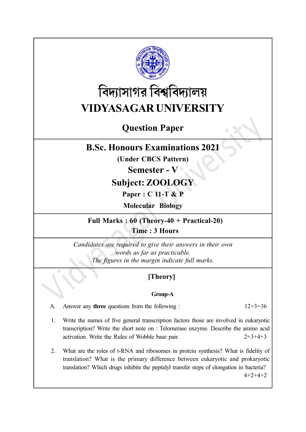

# বিদ্যাসাগর বিশ্ববিদ্যালয় VIDYASAGAR UNIVERSITY

# Question Paper

# B.Sc. Honours Examinations 2021

(Under CBCS Pattern)

### Semester - V ·

# Subject: ZOOLOGY

Paper : C 11-T & P

Molecular Biology

Full Marks : 60 (Theory-40 + Practical-20) Time : 3 Hours

Candidates are required to give their answers in their own words as far as practicable. The figures in the margin indicate full marks.

# [Theory]

#### Group-A

A. Answer any **three** questions from the following :  $12 \times 3 = 36$ 

- 1. Write the names of five general transcription factors those are involved in eukaryotic transcription? Write the short note on : Telomerase enzyme. Describe the amino acid activation. Write the Rules of Wobble base pair. 2+3+4+3
- 2. What are the roles of t-RNA and ribosomes in protein synthesis? What is fidelity of translation? What is the primary difference between eukaryotic and prokaryotic translation? Which drugs inhibits the peptidyl transfer steps of elongation in bacteria? 4+2+4+2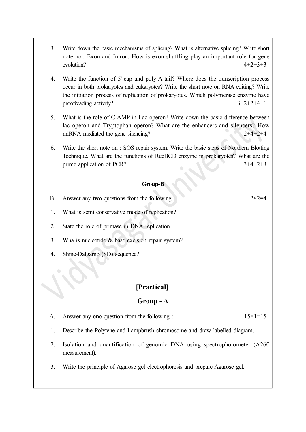- 3. Write down the basic mechanisms of splicing? What is alternative splicing? Write short note no : Exon and Intron. How is exon shuffling play an important role for gene evolution?  $4+2+3+3$
- 4. Write the function of 5'-cap and poly-A tail? Where does the transcription process occur in both prokaryotes and eukaryotes? Write the short note on RNA editing? Write the initiation process of replication of prokaryotes. Which polymerase enzyme have proofreading activity?  $3+2+2+4+1$
- 5. What is the role of C-AMP in Lac operon? Write down the basic difference between lac operon and Tryptophan operon? What are the enhancers and silencers? How miRNA mediated the gene silencing? 2+4+2+4
- 6. Write the short note on : SOS repair system. Write the basic steps of Northern Blotting Technique. What are the functions of RecBCD enzyme in prokaryotes? What are the prime application of PCR?  $3+4+2+3$

#### Group-B

- B. Answer any two questions from the following :  $2 \times 2 = 4$
- 1. What is semi conservative mode of replication?
- 2. State the role of primase in DNA replication.
- 3. Wha is nucleotide & base excision repair system?
- 4. Shine-Dalgarno (SD) sequence?

#### [Practical]

#### Group - A

- A. Answer any one question from the following :  $15 \times 1 = 15$
- 1. Describe the Polytene and Lampbrush chromosome and draw labelled diagram.
- 2. Isolation and quantification of genomic DNA using spectrophotometer (A260 measurement).
- 3. Write the principle of Agarose gel electrophoresis and prepare Agarose gel.